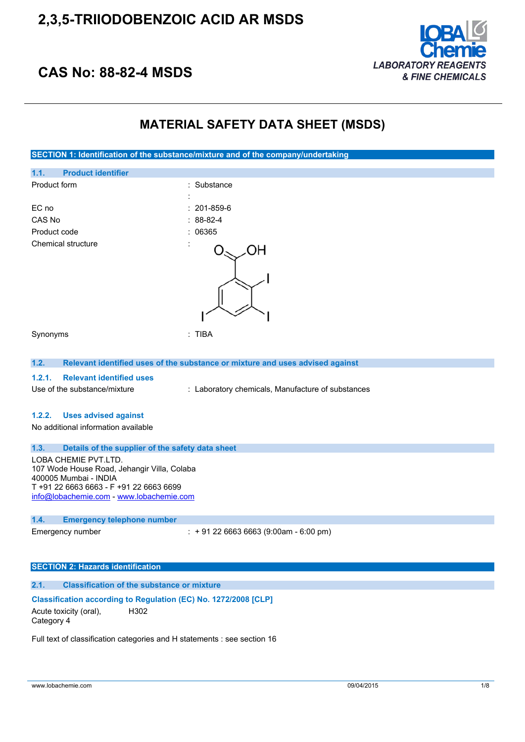

## **CAS No: 88-82-4 MSDS**

### **MATERIAL SAFETY DATA SHEET (MSDS)**



#### **Classification according to Regulation (EC) No. 1272/2008 [CLP]** Acute toxicity (oral), Category 4 H302

Full text of classification categories and H statements : see section 16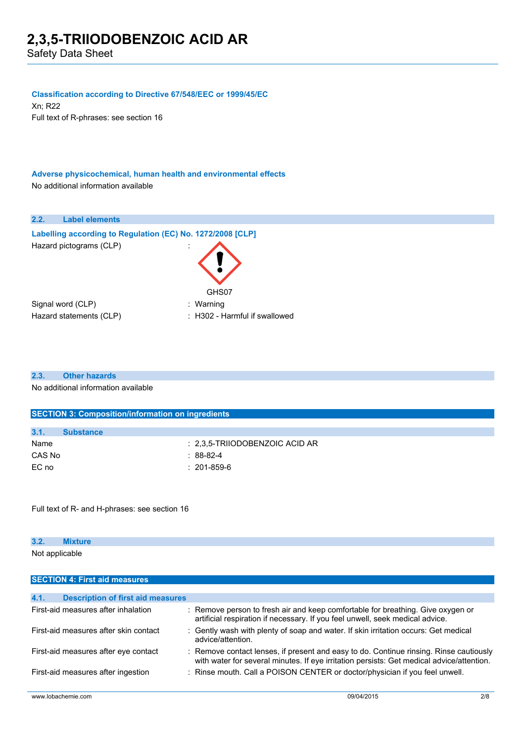#### **Classification according to Directive 67/548/EEC or 1999/45/EC**

Xn; R22 Full text of R-phrases: see section 16

**Adverse physicochemical, human health and environmental effects** No additional information available



#### **2.3. Other hazards**

No additional information available

|        | <b>SECTION 3: Composition/information on ingredients</b> |                                    |  |  |
|--------|----------------------------------------------------------|------------------------------------|--|--|
|        |                                                          |                                    |  |  |
| 3.1.   | <b>Substance</b>                                         |                                    |  |  |
| Name   |                                                          | $\pm$ 2.3.5-TRIIODOBENZOIC ACID AR |  |  |
| CAS No |                                                          | $: 88-82-4$                        |  |  |
| EC no  |                                                          | $: 201 - 859 - 6$                  |  |  |

Full text of R- and H-phrases: see section 16

**SECTION 4: First aid measures**

| 3.2.           | <b>The continued and interest</b><br>aure |  |  |
|----------------|-------------------------------------------|--|--|
| Not applicable |                                           |  |  |

| 4.1. | <b>Description of first aid measures</b> |                                                                                                                                                                                     |
|------|------------------------------------------|-------------------------------------------------------------------------------------------------------------------------------------------------------------------------------------|
|      | First-aid measures after inhalation      | : Remove person to fresh air and keep comfortable for breathing. Give oxygen or<br>artificial respiration if necessary. If you feel unwell, seek medical advice.                    |
|      | First-aid measures after skin contact    | : Gently wash with plenty of soap and water. If skin irritation occurs: Get medical<br>advice/attention.                                                                            |
|      | First-aid measures after eye contact     | : Remove contact lenses, if present and easy to do. Continue rinsing. Rinse cautiously<br>with water for several minutes. If eye irritation persists: Get medical advice/attention. |
|      | First-aid measures after ingestion       | : Rinse mouth. Call a POISON CENTER or doctor/physician if you feel unwell.                                                                                                         |
|      | www.lobachemie.com                       | 09/04/2015<br>2/8                                                                                                                                                                   |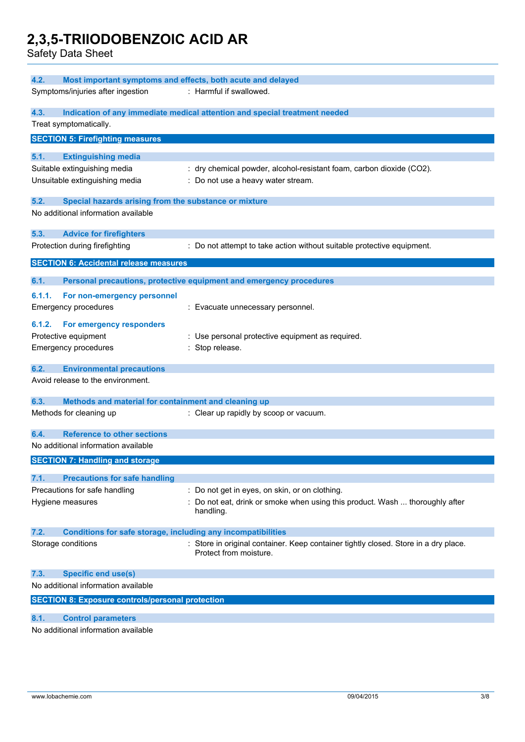Safety Data Sheet

| 4.2.<br>Most important symptoms and effects, both acute and delayed |                                                                            |                                                                                                               |  |  |
|---------------------------------------------------------------------|----------------------------------------------------------------------------|---------------------------------------------------------------------------------------------------------------|--|--|
| Symptoms/injuries after ingestion<br>: Harmful if swallowed.        |                                                                            |                                                                                                               |  |  |
| 4.3.                                                                | Indication of any immediate medical attention and special treatment needed |                                                                                                               |  |  |
| Treat symptomatically.                                              |                                                                            |                                                                                                               |  |  |
|                                                                     | <b>SECTION 5: Firefighting measures</b>                                    |                                                                                                               |  |  |
| 5.1.                                                                | <b>Extinguishing media</b>                                                 |                                                                                                               |  |  |
|                                                                     | Suitable extinguishing media                                               | : dry chemical powder, alcohol-resistant foam, carbon dioxide (CO2).                                          |  |  |
|                                                                     | Unsuitable extinguishing media                                             | : Do not use a heavy water stream.                                                                            |  |  |
| 5.2.                                                                | Special hazards arising from the substance or mixture                      |                                                                                                               |  |  |
|                                                                     | No additional information available                                        |                                                                                                               |  |  |
| 5.3.                                                                | <b>Advice for firefighters</b>                                             |                                                                                                               |  |  |
|                                                                     | Protection during firefighting                                             | : Do not attempt to take action without suitable protective equipment.                                        |  |  |
|                                                                     | <b>SECTION 6: Accidental release measures</b>                              |                                                                                                               |  |  |
| 6.1.                                                                |                                                                            | Personal precautions, protective equipment and emergency procedures                                           |  |  |
| 6.1.1.                                                              | For non-emergency personnel                                                |                                                                                                               |  |  |
| <b>Emergency procedures</b>                                         |                                                                            | : Evacuate unnecessary personnel.                                                                             |  |  |
| 6.1.2.                                                              | For emergency responders                                                   |                                                                                                               |  |  |
| Protective equipment                                                |                                                                            | : Use personal protective equipment as required.                                                              |  |  |
| <b>Emergency procedures</b>                                         |                                                                            | : Stop release.                                                                                               |  |  |
| 6.2.                                                                | <b>Environmental precautions</b>                                           |                                                                                                               |  |  |
|                                                                     | Avoid release to the environment.                                          |                                                                                                               |  |  |
| 6.3.                                                                | Methods and material for containment and cleaning up                       |                                                                                                               |  |  |
| Methods for cleaning up                                             |                                                                            | : Clear up rapidly by scoop or vacuum.                                                                        |  |  |
| 6.4.                                                                | <b>Reference to other sections</b>                                         |                                                                                                               |  |  |
|                                                                     | No additional information available                                        |                                                                                                               |  |  |
|                                                                     | <b>SECTION 7: Handling and storage</b>                                     |                                                                                                               |  |  |
| 7.1.                                                                | <b>Precautions for safe handling</b>                                       |                                                                                                               |  |  |
|                                                                     | Precautions for safe handling                                              | : Do not get in eyes, on skin, or on clothing.                                                                |  |  |
| Hygiene measures                                                    |                                                                            | : Do not eat, drink or smoke when using this product. Wash  thoroughly after<br>handling.                     |  |  |
| 7.2.                                                                | <b>Conditions for safe storage, including any incompatibilities</b>        |                                                                                                               |  |  |
| Storage conditions                                                  |                                                                            | : Store in original container. Keep container tightly closed. Store in a dry place.<br>Protect from moisture. |  |  |
| 7.3.                                                                | <b>Specific end use(s)</b>                                                 |                                                                                                               |  |  |
|                                                                     | No additional information available                                        |                                                                                                               |  |  |
|                                                                     | <b>SECTION 8: Exposure controls/personal protection</b>                    |                                                                                                               |  |  |
| 8.1.                                                                | <b>Control parameters</b>                                                  |                                                                                                               |  |  |

No additional information available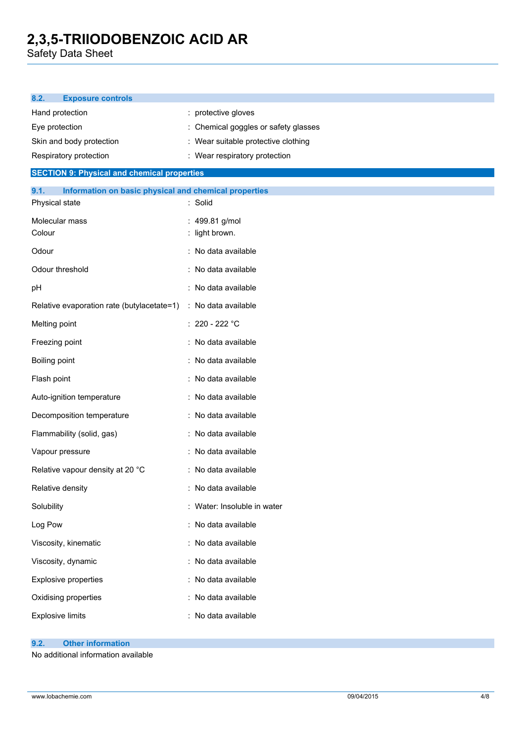Safety Data Sheet

| 8.2.<br><b>Exposure controls</b>                              |                                      |
|---------------------------------------------------------------|--------------------------------------|
| Hand protection                                               | : protective gloves                  |
| Eye protection                                                | : Chemical goggles or safety glasses |
| Skin and body protection                                      | : Wear suitable protective clothing  |
| Respiratory protection                                        | : Wear respiratory protection        |
| <b>SECTION 9: Physical and chemical properties</b>            |                                      |
| 9.1.<br>Information on basic physical and chemical properties |                                      |
| Physical state                                                | : Solid                              |
| Molecular mass                                                | : 499.81 g/mol                       |
| Colour                                                        | : light brown.                       |
| Odour                                                         | : No data available                  |
| Odour threshold                                               | : No data available                  |
| pH                                                            | : No data available                  |
| Relative evaporation rate (butylacetate=1)                    | : No data available                  |
| Melting point                                                 | : 220 - 222 °C                       |
| Freezing point                                                | : No data available                  |
| <b>Boiling point</b>                                          | : No data available                  |
| Flash point                                                   | : No data available                  |
| Auto-ignition temperature                                     | : No data available                  |
| Decomposition temperature                                     | : No data available                  |
| Flammability (solid, gas)                                     | : No data available                  |
| Vapour pressure                                               | : No data available                  |
| Relative vapour density at 20 °C                              | : No data available                  |
| Relative density                                              | : No data available                  |
| Solubility                                                    | : Water: Insoluble in water          |
| Log Pow                                                       | : No data available                  |
| Viscosity, kinematic                                          | : No data available                  |
| Viscosity, dynamic                                            | : No data available                  |
| Explosive properties                                          | : No data available                  |
| Oxidising properties                                          | : No data available                  |
| <b>Explosive limits</b>                                       | : No data available                  |
|                                                               |                                      |

#### **9.2. Other information**

No additional information available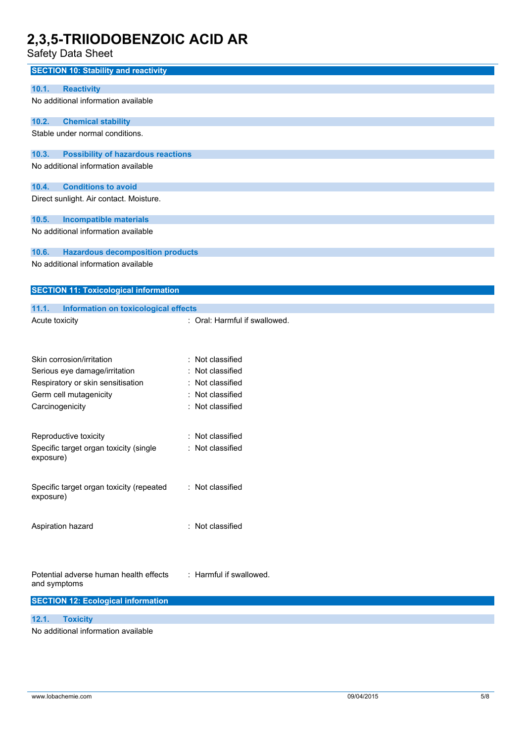Safety Data Sheet

| <b>SECTION 10: Stability and reactivity</b>          |                               |
|------------------------------------------------------|-------------------------------|
|                                                      |                               |
| <b>Reactivity</b><br>10.1.                           |                               |
| No additional information available                  |                               |
| 10.2.<br><b>Chemical stability</b>                   |                               |
| Stable under normal conditions.                      |                               |
|                                                      |                               |
| <b>Possibility of hazardous reactions</b><br>10.3.   |                               |
| No additional information available                  |                               |
| 10.4.<br><b>Conditions to avoid</b>                  |                               |
| Direct sunlight. Air contact. Moisture.              |                               |
|                                                      |                               |
| 10.5.<br><b>Incompatible materials</b>               |                               |
| No additional information available                  |                               |
| 10.6.<br><b>Hazardous decomposition products</b>     |                               |
| No additional information available                  |                               |
|                                                      |                               |
| <b>SECTION 11: Toxicological information</b>         |                               |
|                                                      |                               |
| 11.1.<br><b>Information on toxicological effects</b> |                               |
| Acute toxicity                                       | : Oral: Harmful if swallowed. |
|                                                      |                               |
|                                                      |                               |
| Skin corrosion/irritation                            | : Not classified              |
| Serious eye damage/irritation                        | Not classified                |
| Respiratory or skin sensitisation                    | Not classified                |
| Germ cell mutagenicity                               | : Not classified              |
| Carcinogenicity                                      | : Not classified              |
|                                                      |                               |
| Reproductive toxicity                                | Not classified                |
| Specific target organ toxicity (single               | : Not classified              |
| exposure)                                            |                               |
|                                                      |                               |
| Specific target organ toxicity (repeated             | : Not classified              |
| exposure)                                            |                               |
|                                                      |                               |
| Aspiration hazard                                    | : Not classified              |
|                                                      |                               |
|                                                      |                               |
|                                                      |                               |
| Potential adverse human health effects               | : Harmful if swallowed.       |
| and symptoms                                         |                               |
| <b>SECTION 12: Ecological information</b>            |                               |
| 12.1.<br><b>Toxicity</b>                             |                               |
|                                                      |                               |

No additional information available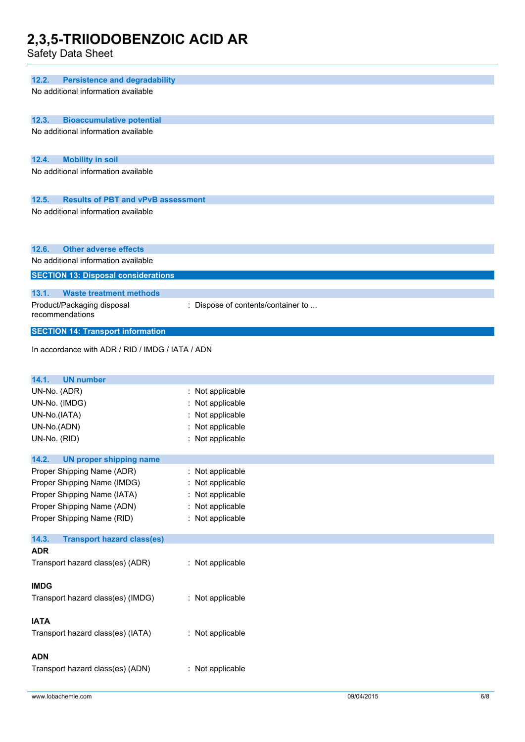Safety Data Sheet

| 12.2.<br><b>Persistence and degradability</b>                                    |                                    |
|----------------------------------------------------------------------------------|------------------------------------|
| No additional information available                                              |                                    |
|                                                                                  |                                    |
|                                                                                  |                                    |
| 12.3.<br><b>Bioaccumulative potential</b><br>No additional information available |                                    |
|                                                                                  |                                    |
|                                                                                  |                                    |
| 12.4.<br><b>Mobility in soil</b>                                                 |                                    |
| No additional information available                                              |                                    |
|                                                                                  |                                    |
| 12.5.<br><b>Results of PBT and vPvB assessment</b>                               |                                    |
| No additional information available                                              |                                    |
|                                                                                  |                                    |
|                                                                                  |                                    |
| <b>Other adverse effects</b><br>12.6.                                            |                                    |
| No additional information available                                              |                                    |
| <b>SECTION 13: Disposal considerations</b>                                       |                                    |
|                                                                                  |                                    |
| 13.1.<br><b>Waste treatment methods</b>                                          |                                    |
| Product/Packaging disposal<br>recommendations                                    | : Dispose of contents/container to |
|                                                                                  |                                    |
| <b>SECTION 14: Transport information</b>                                         |                                    |
| In accordance with ADR / RID / IMDG / IATA / ADN                                 |                                    |
|                                                                                  |                                    |
|                                                                                  |                                    |
| 14.1.<br><b>UN number</b>                                                        |                                    |
| UN-No. (ADR)                                                                     | : Not applicable                   |
| UN-No. (IMDG)                                                                    | Not applicable                     |
| UN-No.(IATA)                                                                     | Not applicable                     |
| UN-No.(ADN)                                                                      | Not applicable                     |
| UN-No. (RID)                                                                     | Not applicable                     |
| 14.2.<br><b>UN proper shipping name</b>                                          |                                    |
| Proper Shipping Name (ADR)                                                       | : Not applicable                   |
| Proper Shipping Name (IMDG)                                                      | Not applicable                     |
| Proper Shipping Name (IATA)                                                      | : Not applicable                   |
| Proper Shipping Name (ADN)                                                       | Not applicable                     |
| Proper Shipping Name (RID)                                                       | : Not applicable                   |
|                                                                                  |                                    |
| 14.3.<br><b>Transport hazard class(es)</b>                                       |                                    |
| <b>ADR</b>                                                                       |                                    |
| Transport hazard class(es) (ADR)                                                 | : Not applicable                   |
|                                                                                  |                                    |
| <b>IMDG</b>                                                                      |                                    |
| Transport hazard class(es) (IMDG)                                                | : Not applicable                   |
|                                                                                  |                                    |
| <b>IATA</b><br>Transport hazard class(es) (IATA)                                 | : Not applicable                   |
|                                                                                  |                                    |
| <b>ADN</b>                                                                       |                                    |
| Transport hazard class(es) (ADN)                                                 | : Not applicable                   |
|                                                                                  |                                    |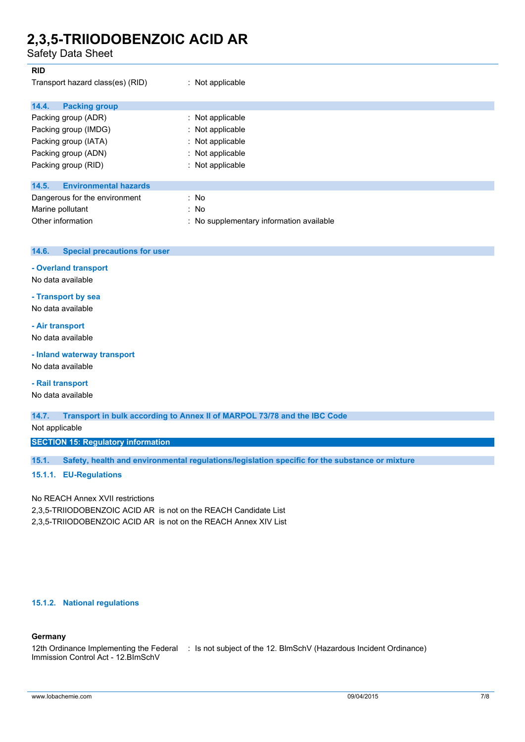Safety Data Sheet

| <b>RID</b>                            |                                          |
|---------------------------------------|------------------------------------------|
| Transport hazard class(es) (RID)      | : Not applicable                         |
| 14.4.<br><b>Packing group</b>         |                                          |
| Packing group (ADR)                   | : Not applicable                         |
| Packing group (IMDG)                  | : Not applicable                         |
| Packing group (IATA)                  | : Not applicable                         |
| Packing group (ADN)                   | : Not applicable                         |
| Packing group (RID)                   | : Not applicable                         |
| <b>Environmental hazards</b><br>14.5. |                                          |
| Dangerous for the environment         | : No                                     |
| Marine pollutant                      | : No                                     |
| Other information                     | : No supplementary information available |

| 14.6. | Special precautions for user |  |
|-------|------------------------------|--|
|       |                              |  |

#### **- Overland transport**

No data available

### **- Transport by sea**

No data available

### **- Air transport**

No data available

### **- Inland waterway transport**

No data available

### **- Rail transport**

No data available

**14.7. Transport in bulk according to Annex II of MARPOL 73/78 and the IBC Code**

Not applicable

**SECTION 15: Regulatory information**

**15.1. Safety, health and environmental regulations/legislation specific for the substance or mixture**

#### **15.1.1. EU-Regulations**

No REACH Annex XVII restrictions 2,3,5-TRIIODOBENZOIC ACID AR is not on the REACH Candidate List 2,3,5-TRIIODOBENZOIC ACID AR is not on the REACH Annex XIV List

#### **15.1.2. National regulations**

### **Germany**

12th Ordinance Implementing the Federal : Is not subject of the 12. BlmSchV (Hazardous Incident Ordinance)Immission Control Act - 12.BImSchV